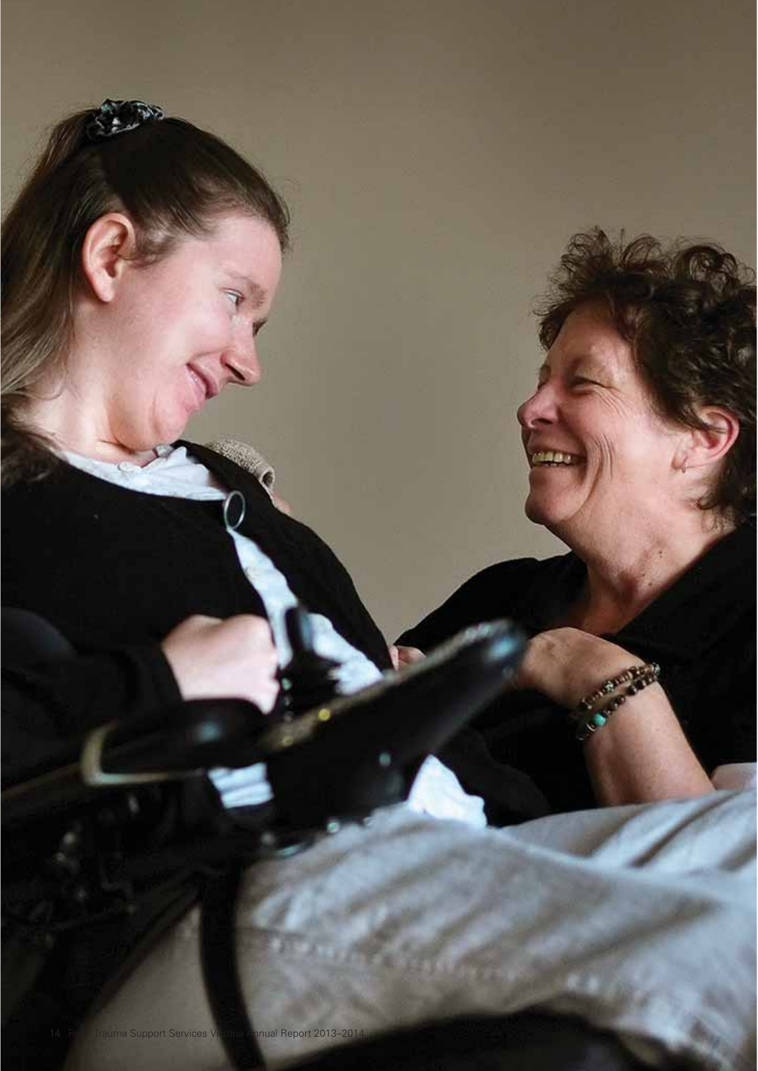14 Road Trauma Support Services Victoria Annual Report 2013–2014